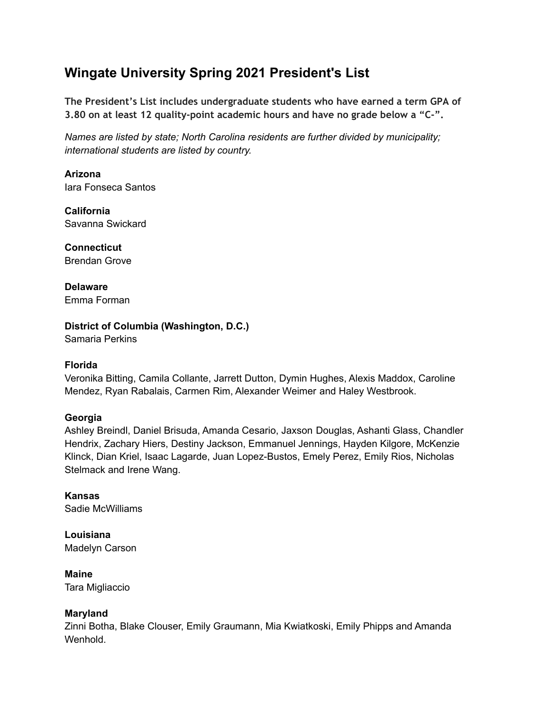# **Wingate University Spring 2021 President's List**

**The President's List includes undergraduate students who have earned a term GPA of 3.80 on at least 12 quality-point academic hours and have no grade below a "C-".**

*Names are listed by state; North Carolina residents are further divided by municipality; international students are listed by country.*

**Arizona** Iara Fonseca Santos

**California** Savanna Swickard

**Connecticut** Brendan Grove

**Delaware** Emma Forman

**District of Columbia (Washington, D.C.)**

Samaria Perkins

#### **Florida**

Veronika Bitting, Camila Collante, Jarrett Dutton, Dymin Hughes, Alexis Maddox, Caroline Mendez, Ryan Rabalais, Carmen Rim, Alexander Weimer and Haley Westbrook.

## **Georgia**

Ashley Breindl, Daniel Brisuda, Amanda Cesario, Jaxson Douglas, Ashanti Glass, Chandler Hendrix, Zachary Hiers, Destiny Jackson, Emmanuel Jennings, Hayden Kilgore, McKenzie Klinck, Dian Kriel, Isaac Lagarde, Juan Lopez-Bustos, Emely Perez, Emily Rios, Nicholas Stelmack and Irene Wang.

**Kansas** Sadie McWilliams

**Louisiana** Madelyn Carson

**Maine** Tara Migliaccio

#### **Maryland**

Zinni Botha, Blake Clouser, Emily Graumann, Mia Kwiatkoski, Emily Phipps and Amanda Wenhold.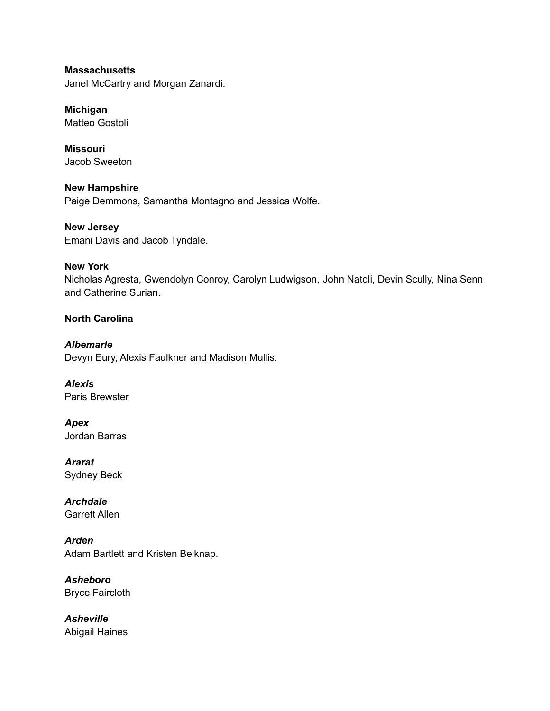**Massachusetts** Janel McCartry and Morgan Zanardi.

**Michigan** Matteo Gostoli

**Missouri** Jacob Sweeton

**New Hampshire** Paige Demmons, Samantha Montagno and Jessica Wolfe.

**New Jersey** Emani Davis and Jacob Tyndale.

## **New York**

Nicholas Agresta, Gwendolyn Conroy, Carolyn Ludwigson, John Natoli, Devin Scully, Nina Senn and Catherine Surian.

# **North Carolina**

*Albemarle* Devyn Eury, Alexis Faulkner and Madison Mullis.

*Alexis* Paris Brewster

*Apex* Jordan Barras

*Ararat* Sydney Beck

*Archdale* Garrett Allen

*Arden* Adam Bartlett and Kristen Belknap.

*Asheboro* Bryce Faircloth

*Asheville* Abigail Haines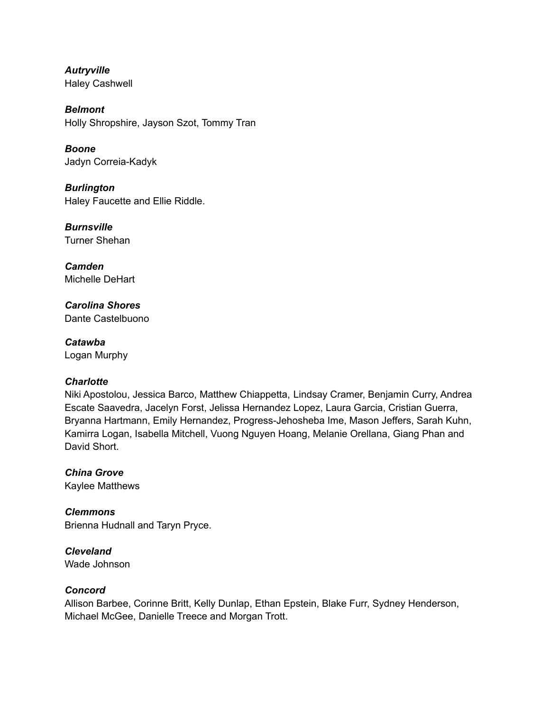*Autryville* Haley Cashwell

*Belmont* Holly Shropshire, Jayson Szot, Tommy Tran

*Boone* Jadyn Correia-Kadyk

*Burlington* Haley Faucette and Ellie Riddle.

*Burnsville* Turner Shehan

*Camden* Michelle DeHart

*Carolina Shores* Dante Castelbuono

*Catawba* Logan Murphy

# *Charlotte*

Niki Apostolou, Jessica Barco, Matthew Chiappetta, Lindsay Cramer, Benjamin Curry, Andrea Escate Saavedra, Jacelyn Forst, Jelissa Hernandez Lopez, Laura Garcia, Cristian Guerra, Bryanna Hartmann, Emily Hernandez, Progress-Jehosheba Ime, Mason Jeffers, Sarah Kuhn, Kamirra Logan, Isabella Mitchell, Vuong Nguyen Hoang, Melanie Orellana, Giang Phan and David Short.

*China Grove* Kaylee Matthews

*Clemmons* Brienna Hudnall and Taryn Pryce.

*Cleveland* Wade Johnson

# *Concord*

Allison Barbee, Corinne Britt, Kelly Dunlap, Ethan Epstein, Blake Furr, Sydney Henderson, Michael McGee, Danielle Treece and Morgan Trott.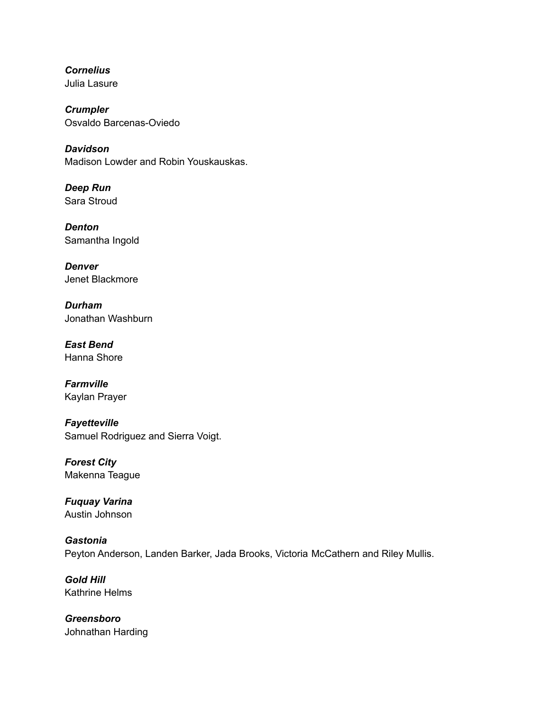*Cornelius* Julia Lasure

*Crumpler* Osvaldo Barcenas-Oviedo

*Davidson* Madison Lowder and Robin Youskauskas.

*Deep Run* Sara Stroud

*Denton* Samantha Ingold

*Denver* Jenet Blackmore

*Durham* Jonathan Washburn

*East Bend* Hanna Shore

*Farmville* Kaylan Prayer

*Fayetteville* Samuel Rodriguez and Sierra Voigt.

*Forest City* Makenna Teague

*Fuquay Varina* Austin Johnson

*Gastonia* Peyton Anderson, Landen Barker, Jada Brooks, Victoria McCathern and Riley Mullis.

*Gold Hill* Kathrine Helms

*Greensboro* Johnathan Harding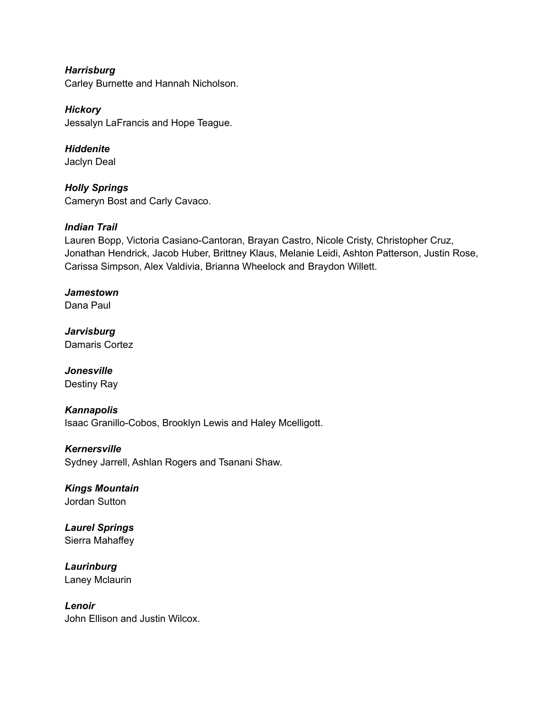*Harrisburg* Carley Burnette and Hannah Nicholson.

*Hickory* Jessalyn LaFrancis and Hope Teague.

*Hiddenite* Jaclyn Deal

*Holly Springs* Cameryn Bost and Carly Cavaco.

## *Indian Trail*

Lauren Bopp, Victoria Casiano-Cantoran, Brayan Castro, Nicole Cristy, Christopher Cruz, Jonathan Hendrick, Jacob Huber, Brittney Klaus, Melanie Leidi, Ashton Patterson, Justin Rose, Carissa Simpson, Alex Valdivia, Brianna Wheelock and Braydon Willett.

# *Jamestown*

Dana Paul

*Jarvisburg* Damaris Cortez

# *Jonesville*

Destiny Ray

## *Kannapolis*

Isaac Granillo-Cobos, Brooklyn Lewis and Haley Mcelligott.

*Kernersville*

Sydney Jarrell, Ashlan Rogers and Tsanani Shaw.

*Kings Mountain* Jordan Sutton

*Laurel Springs* Sierra Mahaffey

*Laurinburg* Laney Mclaurin

*Lenoir* John Ellison and Justin Wilcox.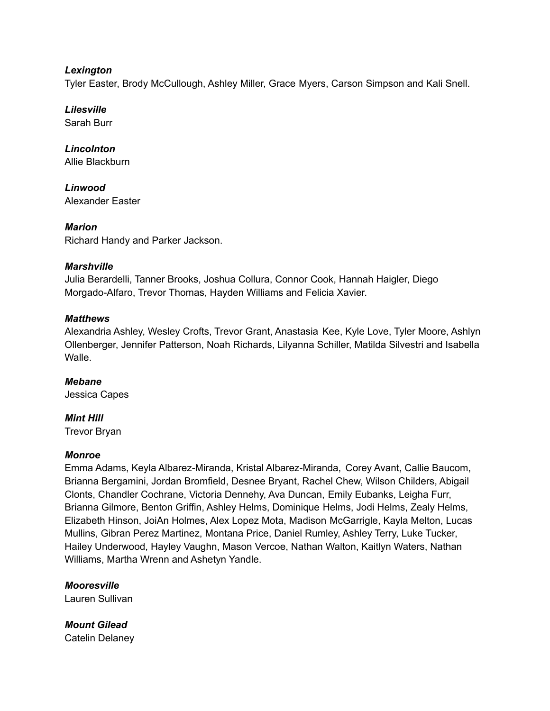#### *Lexington*

Tyler Easter, Brody McCullough, Ashley Miller, Grace Myers, Carson Simpson and Kali Snell.

*Lilesville* Sarah Burr

*Lincolnton* Allie Blackburn

*Linwood* Alexander Easter

*Marion* Richard Handy and Parker Jackson.

#### *Marshville*

Julia Berardelli, Tanner Brooks, Joshua Collura, Connor Cook, Hannah Haigler, Diego Morgado-Alfaro, Trevor Thomas, Hayden Williams and Felicia Xavier.

#### *Matthews*

Alexandria Ashley, Wesley Crofts, Trevor Grant, Anastasia Kee, Kyle Love, Tyler Moore, Ashlyn Ollenberger, Jennifer Patterson, Noah Richards, Lilyanna Schiller, Matilda Silvestri and Isabella **Walle** 

*Mebane* Jessica Capes

#### *Mint Hill*

Trevor Bryan

#### *Monroe*

Emma Adams, Keyla Albarez-Miranda, Kristal Albarez-Miranda, Corey Avant, Callie Baucom, Brianna Bergamini, Jordan Bromfield, Desnee Bryant, Rachel Chew, Wilson Childers, Abigail Clonts, Chandler Cochrane, Victoria Dennehy, Ava Duncan, Emily Eubanks, Leigha Furr, Brianna Gilmore, Benton Griffin, Ashley Helms, Dominique Helms, Jodi Helms, Zealy Helms, Elizabeth Hinson, JoiAn Holmes, Alex Lopez Mota, Madison McGarrigle, Kayla Melton, Lucas Mullins, Gibran Perez Martinez, Montana Price, Daniel Rumley, Ashley Terry, Luke Tucker, Hailey Underwood, Hayley Vaughn, Mason Vercoe, Nathan Walton, Kaitlyn Waters, Nathan Williams, Martha Wrenn and Ashetyn Yandle.

*Mooresville* Lauren Sullivan

*Mount Gilead* Catelin Delaney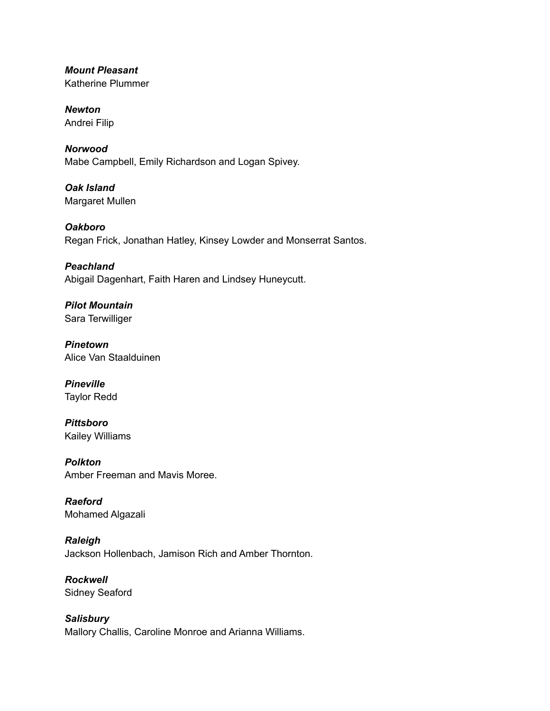*Mount Pleasant* Katherine Plummer

*Newton* Andrei Filip

*Norwood* Mabe Campbell, Emily Richardson and Logan Spivey.

*Oak Island* Margaret Mullen

*Oakboro* Regan Frick, Jonathan Hatley, Kinsey Lowder and Monserrat Santos.

*Peachland* Abigail Dagenhart, Faith Haren and Lindsey Huneycutt.

*Pilot Mountain* Sara Terwilliger

*Pinetown* Alice Van Staalduinen

*Pineville* Taylor Redd

*Pittsboro* Kailey Williams

*Polkton* Amber Freeman and Mavis Moree.

*Raeford* Mohamed Algazali

*Raleigh* Jackson Hollenbach, Jamison Rich and Amber Thornton.

*Rockwell* Sidney Seaford

*Salisbury* Mallory Challis, Caroline Monroe and Arianna Williams.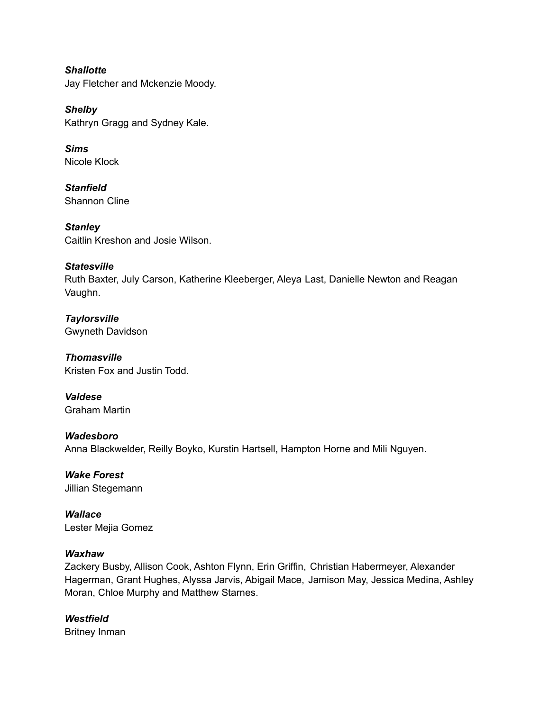*Shallotte* Jay Fletcher and Mckenzie Moody.

*Shelby* Kathryn Gragg and Sydney Kale.

*Sims* Nicole Klock

*Stanfield* Shannon Cline

*Stanley* Caitlin Kreshon and Josie Wilson.

## *Statesville*

Ruth Baxter, July Carson, Katherine Kleeberger, Aleya Last, Danielle Newton and Reagan Vaughn.

*Taylorsville* Gwyneth Davidson

*Thomasville* Kristen Fox and Justin Todd.

*Valdese* Graham Martin

*Wadesboro* Anna Blackwelder, Reilly Boyko, Kurstin Hartsell, Hampton Horne and Mili Nguyen.

*Wake Forest* Jillian Stegemann

*Wallace* Lester Mejia Gomez

## *Waxhaw*

Zackery Busby, Allison Cook, Ashton Flynn, Erin Griffin, Christian Habermeyer, Alexander Hagerman, Grant Hughes, Alyssa Jarvis, Abigail Mace, Jamison May, Jessica Medina, Ashley Moran, Chloe Murphy and Matthew Starnes.

*Westfield* Britney Inman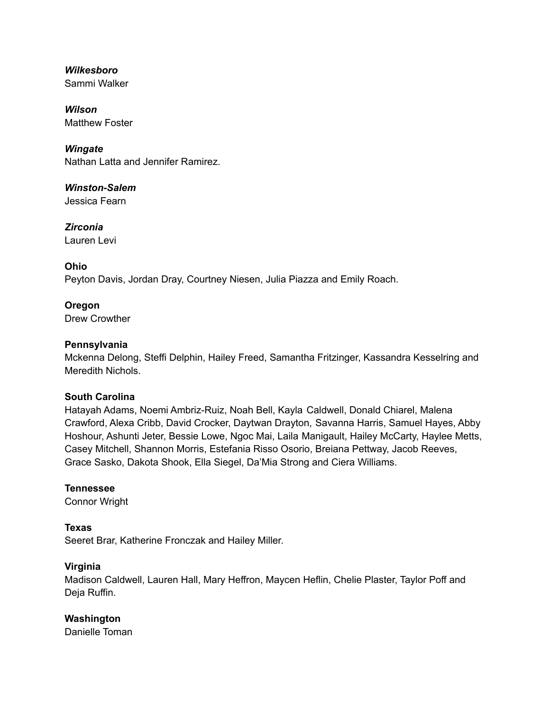*Wilkesboro* Sammi Walker

*Wilson* Matthew Foster

*Wingate* Nathan Latta and Jennifer Ramirez.

*Winston-Salem* Jessica Fearn

*Zirconia* Lauren Levi

# **Ohio**

Peyton Davis, Jordan Dray, Courtney Niesen, Julia Piazza and Emily Roach.

**Oregon** Drew Crowther

## **Pennsylvania**

Mckenna Delong, Steffi Delphin, Hailey Freed, Samantha Fritzinger, Kassandra Kesselring and Meredith Nichols.

#### **South Carolina**

Hatayah Adams, Noemi Ambriz-Ruiz, Noah Bell, Kayla Caldwell, Donald Chiarel, Malena Crawford, Alexa Cribb, David Crocker, Daytwan Drayton, Savanna Harris, Samuel Hayes, Abby Hoshour, Ashunti Jeter, Bessie Lowe, Ngoc Mai, Laila Manigault, Hailey McCarty, Haylee Metts, Casey Mitchell, Shannon Morris, Estefania Risso Osorio, Breiana Pettway, Jacob Reeves, Grace Sasko, Dakota Shook, Ella Siegel, Da'Mia Strong and Ciera Williams.

#### **Tennessee**

Connor Wright

## **Texas**

Seeret Brar, Katherine Fronczak and Hailey Miller.

#### **Virginia**

Madison Caldwell, Lauren Hall, Mary Heffron, Maycen Heflin, Chelie Plaster, Taylor Poff and Deja Ruffin.

## **Washington**

Danielle Toman